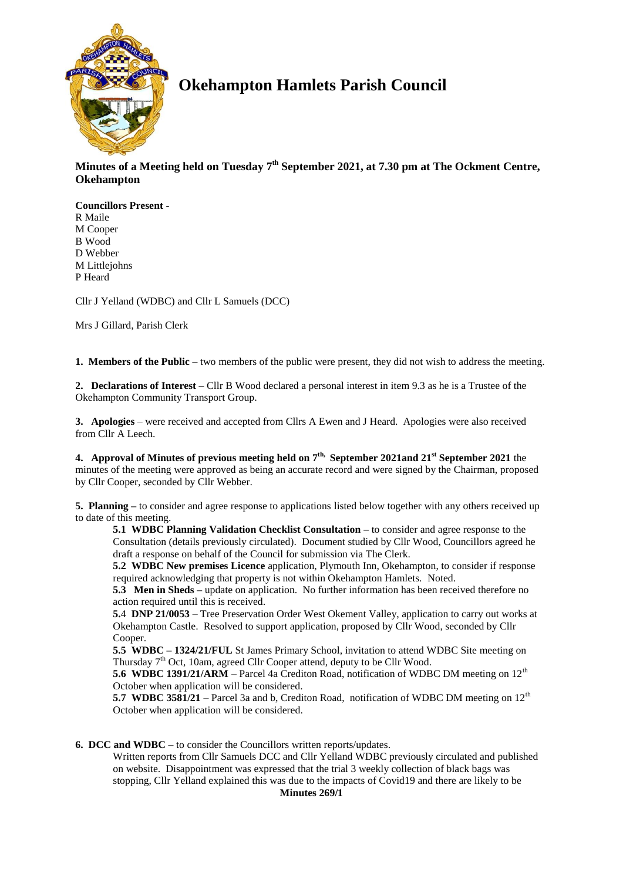

# **Okehampton Hamlets Parish Council**

## **Minutes of a Meeting held on Tuesday 7 th September 2021, at 7.30 pm at The Ockment Centre, Okehampton**

**Councillors Present -** R Maile M Cooper B Wood D Webber M Littlejohns P Heard

Cllr J Yelland (WDBC) and Cllr L Samuels (DCC)

Mrs J Gillard, Parish Clerk

**1. Members of the Public –** two members of the public were present, they did not wish to address the meeting.

**2. Declarations of Interest** – Cllr B Wood declared a personal interest in item 9.3 as he is a Trustee of the Okehampton Community Transport Group.

**3. Apologies** – were received and accepted from Cllrs A Ewen and J Heard. Apologies were also received from Cllr A Leech.

**4. Approval of Minutes of previous meeting held on 7 th, September 2021and 21st September 2021** the minutes of the meeting were approved as being an accurate record and were signed by the Chairman, proposed by Cllr Cooper, seconded by Cllr Webber.

**5. Planning –** to consider and agree response to applications listed below together with any others received up to date of this meeting.

**5.1 WDBC Planning Validation Checklist Consultation –** to consider and agree response to the Consultation (details previously circulated). Document studied by Cllr Wood, Councillors agreed he draft a response on behalf of the Council for submission via The Clerk.

**5.2 WDBC New premises Licence** application, Plymouth Inn, Okehampton, to consider if response required acknowledging that property is not within Okehampton Hamlets. Noted.

**5.3 Men in Sheds –** update on application. No further information has been received therefore no action required until this is received.

**5.**4 **DNP 21/0053** – Tree Preservation Order West Okement Valley, application to carry out works at Okehampton Castle. Resolved to support application, proposed by Cllr Wood, seconded by Cllr Cooper.

**5.5 WDBC – 1324/21/FUL** St James Primary School, invitation to attend WDBC Site meeting on Thursday 7<sup>th</sup> Oct, 10am, agreed Cllr Cooper attend, deputy to be Cllr Wood.

**5.6 WDBC 1391/21/ARM** – Parcel 4a Crediton Road, notification of WDBC DM meeting on 12<sup>th</sup> October when application will be considered.

**5.7 WDBC 3581/21** – Parcel 3a and b, Crediton Road, notification of WDBC DM meeting on 12<sup>th</sup> October when application will be considered.

### **6. DCC and WDBC –** to consider the Councillors written reports/updates.

Written reports from Cllr Samuels DCC and Cllr Yelland WDBC previously circulated and published on website. Disappointment was expressed that the trial 3 weekly collection of black bags was stopping, Cllr Yelland explained this was due to the impacts of Covid19 and there are likely to be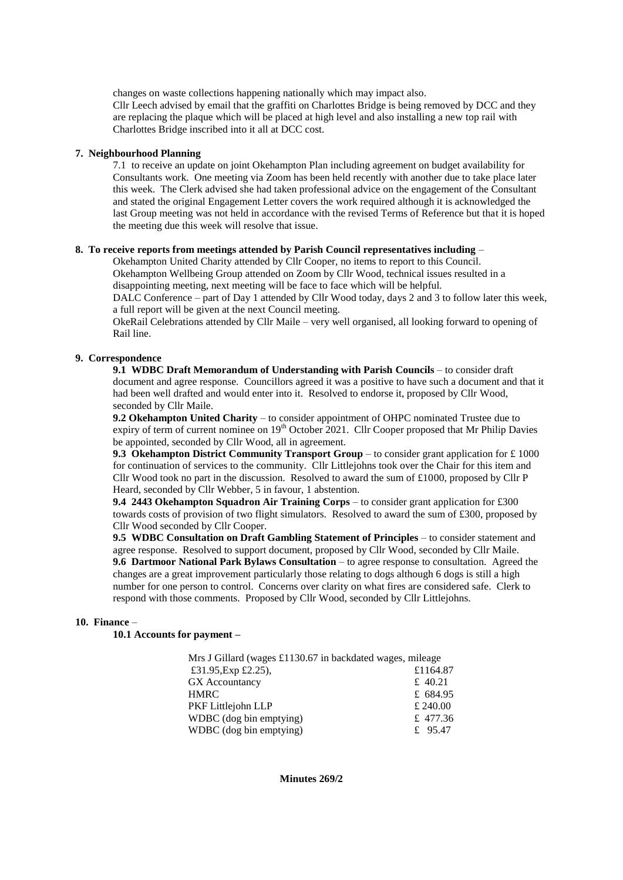changes on waste collections happening nationally which may impact also.

Cllr Leech advised by email that the graffiti on Charlottes Bridge is being removed by DCC and they are replacing the plaque which will be placed at high level and also installing a new top rail with Charlottes Bridge inscribed into it all at DCC cost.

#### **7. Neighbourhood Planning**

7.1 to receive an update on joint Okehampton Plan including agreement on budget availability for Consultants work. One meeting via Zoom has been held recently with another due to take place later this week. The Clerk advised she had taken professional advice on the engagement of the Consultant and stated the original Engagement Letter covers the work required although it is acknowledged the last Group meeting was not held in accordance with the revised Terms of Reference but that it is hoped the meeting due this week will resolve that issue.

#### **8. To receive reports from meetings attended by Parish Council representatives including** –

Okehampton United Charity attended by Cllr Cooper, no items to report to this Council. Okehampton Wellbeing Group attended on Zoom by Cllr Wood, technical issues resulted in a disappointing meeting, next meeting will be face to face which will be helpful.

DALC Conference – part of Day 1 attended by Cllr Wood today, days 2 and 3 to follow later this week, a full report will be given at the next Council meeting.

OkeRail Celebrations attended by Cllr Maile – very well organised, all looking forward to opening of Rail line.

#### **9. Correspondence**

**9.1 WDBC Draft Memorandum of Understanding with Parish Councils** – to consider draft document and agree response. Councillors agreed it was a positive to have such a document and that it had been well drafted and would enter into it. Resolved to endorse it, proposed by Cllr Wood, seconded by Cllr Maile.

**9.2 Okehampton United Charity** – to consider appointment of OHPC nominated Trustee due to expiry of term of current nominee on  $19<sup>th</sup>$  October 2021. Cllr Cooper proposed that Mr Philip Davies be appointed, seconded by Cllr Wood, all in agreement.

**9.3 Okehampton District Community Transport Group** – to consider grant application for £ 1000 for continuation of services to the community. Cllr Littlejohns took over the Chair for this item and Cllr Wood took no part in the discussion. Resolved to award the sum of £1000, proposed by Cllr P Heard, seconded by Cllr Webber, 5 in favour, 1 abstention.

**9.4 2443 Okehampton Squadron Air Training Corps** – to consider grant application for £300 towards costs of provision of two flight simulators. Resolved to award the sum of £300, proposed by Cllr Wood seconded by Cllr Cooper.

**9.5 WDBC Consultation on Draft Gambling Statement of Principles** – to consider statement and agree response. Resolved to support document, proposed by Cllr Wood, seconded by Cllr Maile. **9.6 Dartmoor National Park Bylaws Consultation** – to agree response to consultation. Agreed the changes are a great improvement particularly those relating to dogs although 6 dogs is still a high number for one person to control. Concerns over clarity on what fires are considered safe. Clerk to respond with those comments. Proposed by Cllr Wood, seconded by Cllr Littlejohns.

#### **10. Finance** –

**10.1 Accounts for payment –**

| Mrs J Gillard (wages £1130.67 in backdated wages, mileage |  |
|-----------------------------------------------------------|--|
| £1164.87                                                  |  |
| £ 40.21                                                   |  |
| £ 684.95                                                  |  |
| £ 240.00                                                  |  |
| £ 477.36                                                  |  |
| £ $95.47$                                                 |  |
|                                                           |  |

**Minutes 269/2**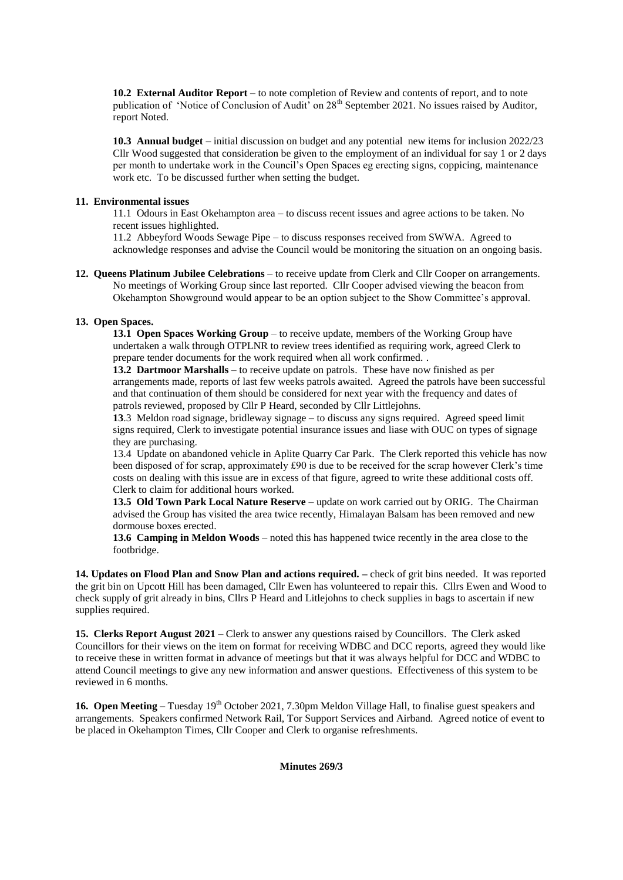**10.2 External Auditor Report** – to note completion of Review and contents of report, and to note publication of 'Notice of Conclusion of Audit' on 28<sup>th</sup> September 2021. No issues raised by Auditor, report Noted.

**10.3 Annual budget** – initial discussion on budget and any potential new items for inclusion 2022/23 Cllr Wood suggested that consideration be given to the employment of an individual for say 1 or 2 days per month to undertake work in the Council's Open Spaces eg erecting signs, coppicing, maintenance work etc. To be discussed further when setting the budget.

#### **11. Environmental issues**

11.1 Odours in East Okehampton area – to discuss recent issues and agree actions to be taken. No recent issues highlighted.

11.2 Abbeyford Woods Sewage Pipe – to discuss responses received from SWWA. Agreed to acknowledge responses and advise the Council would be monitoring the situation on an ongoing basis.

**12. Queens Platinum Jubilee Celebrations** – to receive update from Clerk and Cllr Cooper on arrangements. No meetings of Working Group since last reported. Cllr Cooper advised viewing the beacon from Okehampton Showground would appear to be an option subject to the Show Committee's approval.

#### **13. Open Spaces.**

**13.1 Open Spaces Working Group** – to receive update, members of the Working Group have undertaken a walk through OTPLNR to review trees identified as requiring work, agreed Clerk to prepare tender documents for the work required when all work confirmed. .

**13.2 Dartmoor Marshalls** – to receive update on patrols. These have now finished as per arrangements made, reports of last few weeks patrols awaited. Agreed the patrols have been successful and that continuation of them should be considered for next year with the frequency and dates of patrols reviewed, proposed by Cllr P Heard, seconded by Cllr Littlejohns.

**13**.3 Meldon road signage, bridleway signage – to discuss any signs required. Agreed speed limit signs required, Clerk to investigate potential insurance issues and liase with OUC on types of signage they are purchasing.

13.4 Update on abandoned vehicle in Aplite Quarry Car Park. The Clerk reported this vehicle has now been disposed of for scrap, approximately £90 is due to be received for the scrap however Clerk's time costs on dealing with this issue are in excess of that figure, agreed to write these additional costs off. Clerk to claim for additional hours worked.

**13.5 Old Town Park Local Nature Reserve** – update on work carried out by ORIG. The Chairman advised the Group has visited the area twice recently, Himalayan Balsam has been removed and new dormouse boxes erected.

**13.6 Camping in Meldon Woods** – noted this has happened twice recently in the area close to the footbridge.

**14. Updates on Flood Plan and Snow Plan and actions required. –** check of grit bins needed. It was reported the grit bin on Upcott Hill has been damaged, Cllr Ewen has volunteered to repair this. Cllrs Ewen and Wood to check supply of grit already in bins, Cllrs P Heard and Litlejohns to check supplies in bags to ascertain if new supplies required.

**15. Clerks Report August 2021** – Clerk to answer any questions raised by Councillors. The Clerk asked Councillors for their views on the item on format for receiving WDBC and DCC reports, agreed they would like to receive these in written format in advance of meetings but that it was always helpful for DCC and WDBC to attend Council meetings to give any new information and answer questions. Effectiveness of this system to be reviewed in 6 months.

**16. Open Meeting** – Tuesday 19<sup>th</sup> October 2021, 7.30pm Meldon Village Hall, to finalise guest speakers and arrangements. Speakers confirmed Network Rail, Tor Support Services and Airband. Agreed notice of event to be placed in Okehampton Times, Cllr Cooper and Clerk to organise refreshments.